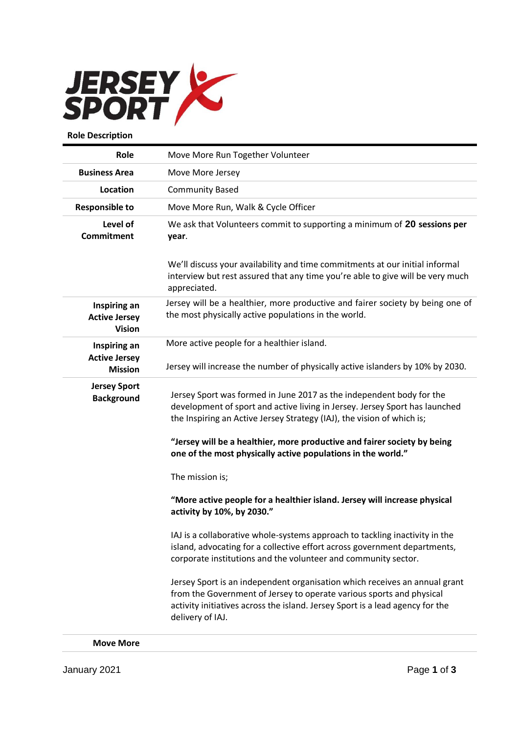

| Role                                                  | Move More Run Together Volunteer                                                                                                                                                                                                                                                                                                                                          |
|-------------------------------------------------------|---------------------------------------------------------------------------------------------------------------------------------------------------------------------------------------------------------------------------------------------------------------------------------------------------------------------------------------------------------------------------|
| <b>Business Area</b>                                  | Move More Jersey                                                                                                                                                                                                                                                                                                                                                          |
| Location                                              | <b>Community Based</b>                                                                                                                                                                                                                                                                                                                                                    |
| <b>Responsible to</b>                                 | Move More Run, Walk & Cycle Officer                                                                                                                                                                                                                                                                                                                                       |
| Level of<br><b>Commitment</b>                         | We ask that Volunteers commit to supporting a minimum of 20 sessions per<br>year.                                                                                                                                                                                                                                                                                         |
|                                                       | We'll discuss your availability and time commitments at our initial informal<br>interview but rest assured that any time you're able to give will be very much<br>appreciated.                                                                                                                                                                                            |
| Inspiring an<br><b>Active Jersey</b><br><b>Vision</b> | Jersey will be a healthier, more productive and fairer society by being one of<br>the most physically active populations in the world.                                                                                                                                                                                                                                    |
| Inspiring an                                          | More active people for a healthier island.                                                                                                                                                                                                                                                                                                                                |
| <b>Active Jersey</b><br><b>Mission</b>                | Jersey will increase the number of physically active islanders by 10% by 2030.                                                                                                                                                                                                                                                                                            |
| <b>Jersey Sport</b><br><b>Background</b>              | Jersey Sport was formed in June 2017 as the independent body for the<br>development of sport and active living in Jersey. Jersey Sport has launched<br>the Inspiring an Active Jersey Strategy (IAJ), the vision of which is;<br>"Jersey will be a healthier, more productive and fairer society by being<br>one of the most physically active populations in the world." |
|                                                       | The mission is;                                                                                                                                                                                                                                                                                                                                                           |
|                                                       | "More active people for a healthier island. Jersey will increase physical<br>activity by 10%, by 2030."                                                                                                                                                                                                                                                                   |
|                                                       | IAJ is a collaborative whole-systems approach to tackling inactivity in the<br>island, advocating for a collective effort across government departments,<br>corporate institutions and the volunteer and community sector.                                                                                                                                                |
|                                                       | Jersey Sport is an independent organisation which receives an annual grant<br>from the Government of Jersey to operate various sports and physical<br>activity initiatives across the island. Jersey Sport is a lead agency for the<br>delivery of IAJ.                                                                                                                   |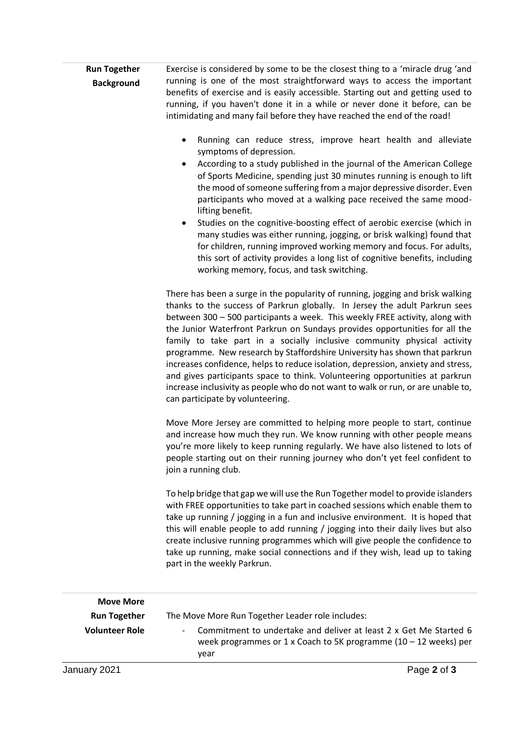| <b>Run Together</b> | Exercise is considered by some to be the closest thing to a 'miracle drug'and   |
|---------------------|---------------------------------------------------------------------------------|
| <b>Background</b>   | running is one of the most straightforward ways to access the important         |
|                     | benefits of exercise and is easily accessible. Starting out and getting used to |
|                     | running, if you haven't done it in a while or never done it before, can be      |
|                     | intimidating and many fail before they have reached the end of the road!        |

- Running can reduce stress, improve heart health and alleviate symptoms of depression.
- According to a study published in the journal of the American College of Sports Medicine, spending just 30 minutes running is enough to lift the mood of someone suffering from a major depressive disorder. Even participants who moved at a walking pace received the same moodlifting benefit.
- Studies on the cognitive-boosting effect of aerobic exercise (which in many studies was either running, jogging, or brisk walking) found that for children, running improved working memory and focus. For adults, this sort of activity provides a long list of cognitive benefits, including working memory, focus, and task switching.

There has been a surge in the popularity of running, jogging and brisk walking thanks to the success of Parkrun globally. In Jersey the adult Parkrun sees between 300 – 500 participants a week. This weekly FREE activity, along with the Junior Waterfront Parkrun on Sundays provides opportunities for all the family to take part in a socially inclusive community physical activity programme. New research by Staffordshire University has shown that parkrun increases confidence, helps to reduce isolation, depression, anxiety and stress, and gives participants space to think. Volunteering opportunities at parkrun increase inclusivity as people who do not want to walk or run, or are unable to, can participate by volunteering.

Move More Jersey are committed to helping more people to start, continue and increase how much they run. We know running with other people means you're more likely to keep running regularly. We have also listened to lots of people starting out on their running journey who don't yet feel confident to join a running club.

To help bridge that gap we will use the Run Together model to provide islanders with FREE opportunities to take part in coached sessions which enable them to take up running / jogging in a fun and inclusive environment. It is hoped that this will enable people to add running / jogging into their daily lives but also create inclusive running programmes which will give people the confidence to take up running, make social connections and if they wish, lead up to taking part in the weekly Parkrun.

| <b>Move More</b>      |                                                                                                                                                  |
|-----------------------|--------------------------------------------------------------------------------------------------------------------------------------------------|
| <b>Run Together</b>   | The Move More Run Together Leader role includes:                                                                                                 |
| <b>Volunteer Role</b> | Commitment to undertake and deliver at least 2 x Get Me Started 6<br>week programmes or 1 x Coach to 5K programme ( $10 - 12$ weeks) per<br>vear |
| January 2021          | Page 2 of 3                                                                                                                                      |